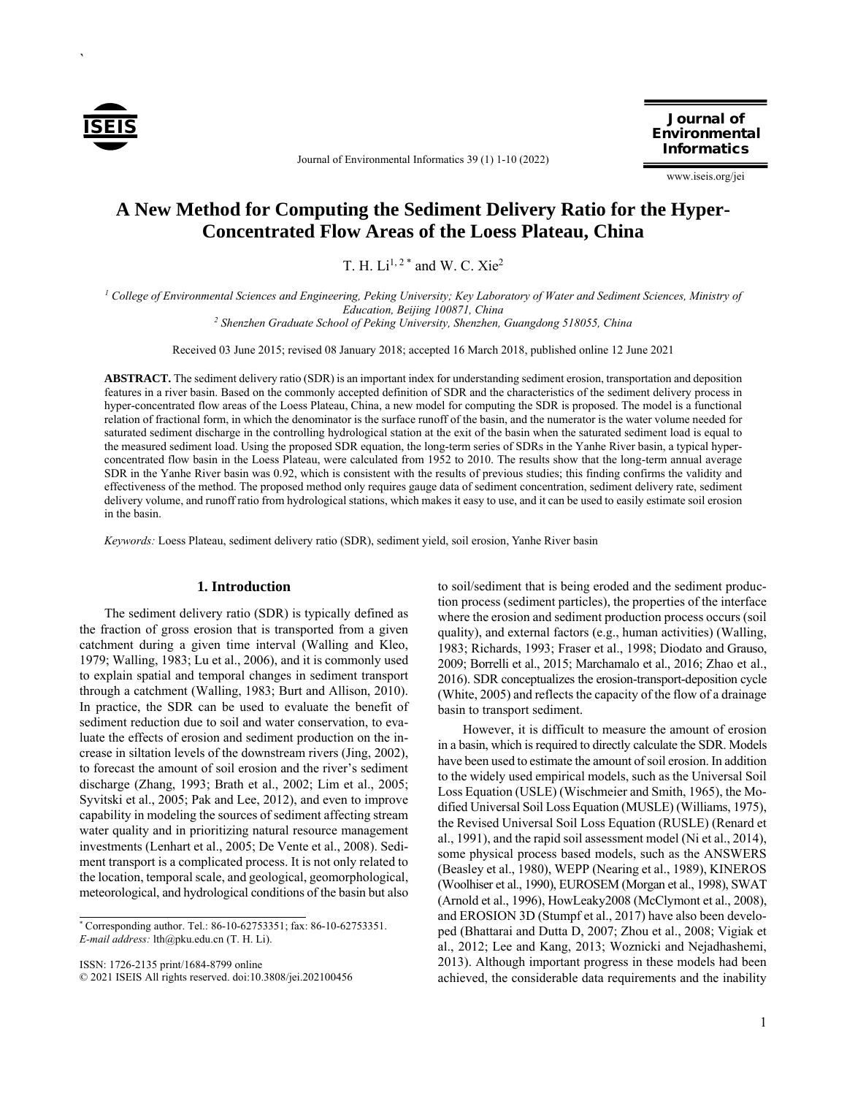

`

Journal of Environmental Informatics 39 (1) 1-10 (2022)

Journal of Environmental Informatics

www.iseis.org/jei

# **A New Method for Computing the Sediment Delivery Ratio for the Hyper-Concentrated Flow Areas of the Loess Plateau, China**

T. H.  $Li^{1,2}$  \* and W. C. Xie<sup>2</sup>

<sup>1</sup> College of Environmental Sciences and Engineering, Peking University; Key Laboratory of Water and Sediment Sciences, Ministry of *Education, Beijing 100871, China* 

<sup>2</sup> Shenzhen Graduate School of Peking University, Shenzhen, Guangdong 518055, China

Received 03 June 2015; revised 08 January 2018; accepted 16 March 2018, published online 12 June 2021

**ABSTRACT.** The sediment delivery ratio (SDR) is an important index for understanding sediment erosion, transportation and deposition features in a river basin. Based on the commonly accepted definition of SDR and the characteristics of the sediment delivery process in hyper-concentrated flow areas of the Loess Plateau, China, a new model for computing the SDR is proposed. The model is a functional relation of fractional form, in which the denominator is the surface runoff of the basin, and the numerator is the water volume needed for saturated sediment discharge in the controlling hydrological station at the exit of the basin when the saturated sediment load is equal to the measured sediment load. Using the proposed SDR equation, the long-term series of SDRs in the Yanhe River basin, a typical hyperconcentrated flow basin in the Loess Plateau, were calculated from 1952 to 2010. The results show that the long-term annual average SDR in the Yanhe River basin was 0.92, which is consistent with the results of previous studies; this finding confirms the validity and effectiveness of the method. The proposed method only requires gauge data of sediment concentration, sediment delivery rate, sediment delivery volume, and runoff ratio from hydrological stations, which makes it easy to use, and it can be used to easily estimate soil erosion in the basin.

*Keywords:* Loess Plateau, sediment delivery ratio (SDR), sediment yield, soil erosion, Yanhe River basin

### **1. Introduction**

The sediment delivery ratio (SDR) is typically defined as the fraction of gross erosion that is transported from a given catchment during a given time interval (Walling and Kleo, 1979; Walling, 1983; Lu et al., 2006), and it is commonly used to explain spatial and temporal changes in sediment transport through a catchment (Walling, 1983; Burt and Allison, 2010). In practice, the SDR can be used to evaluate the benefit of sediment reduction due to soil and water conservation, to evaluate the effects of erosion and sediment production on the increase in siltation levels of the downstream rivers (Jing, 2002), to forecast the amount of soil erosion and the river's sediment discharge (Zhang, 1993; Brath et al., 2002; Lim et al., 2005; Syvitski et al., 2005; Pak and Lee, 2012), and even to improve capability in modeling the sources of sediment affecting stream water quality and in prioritizing natural resource management investments (Lenhart et al., 2005; De Vente et al., 2008). Sediment transport is a complicated process. It is not only related to the location, temporal scale, and geological, geomorphological, meteorological, and hydrological conditions of the basin but also

ISSN: 1726-2135 print/1684-8799 online

© 2021 ISEIS All rights reserved. doi:10.3808/jei.202100456

to soil/sediment that is being eroded and the sediment production process (sediment particles), the properties of the interface where the erosion and sediment production process occurs (soil quality), and external factors (e.g., human activities) (Walling, 1983; Richards, 1993; Fraser et al., 1998; Diodato and Grauso, 2009; Borrelli et al., 2015; Marchamalo et al., 2016; Zhao et al., 2016). SDR conceptualizes the erosion-transport-deposition cycle (White, 2005) and reflects the capacity of the flow of a drainage basin to transport sediment.

However, it is difficult to measure the amount of erosion in a basin, which is required to directly calculate the SDR. Models have been used to estimate the amount of soil erosion. In addition to the widely used empirical models, such as the Universal Soil Loss Equation (USLE) (Wischmeier and Smith, 1965), the Modified Universal Soil Loss Equation (MUSLE) (Williams, 1975), the Revised Universal Soil Loss Equation (RUSLE) (Renard et al., 1991), and the rapid soil assessment model (Ni et al., 2014), some physical process based models, such as the ANSWERS (Beasley et al., 1980), WEPP (Nearing et al., 1989), KINEROS (Woolhiser et al., 1990), EUROSEM (Morgan et al., 1998), SWAT (Arnold et al., 1996), HowLeaky2008 (McClymont et al., 2008), and EROSION 3D (Stumpf et al., 2017) have also been developed (Bhattarai and Dutta D, 2007; Zhou et al., 2008; Vigiak et al., 2012; Lee and Kang, 2013; Woznicki and Nejadhashemi, 2013). Although important progress in these models had been achieved, the considerable data requirements and the inability

<sup>\*</sup> Corresponding author. Tel.: 86-10-62753351; fax: 86-10-62753351. *E-mail address:* lth@pku.edu.cn (T. H. Li).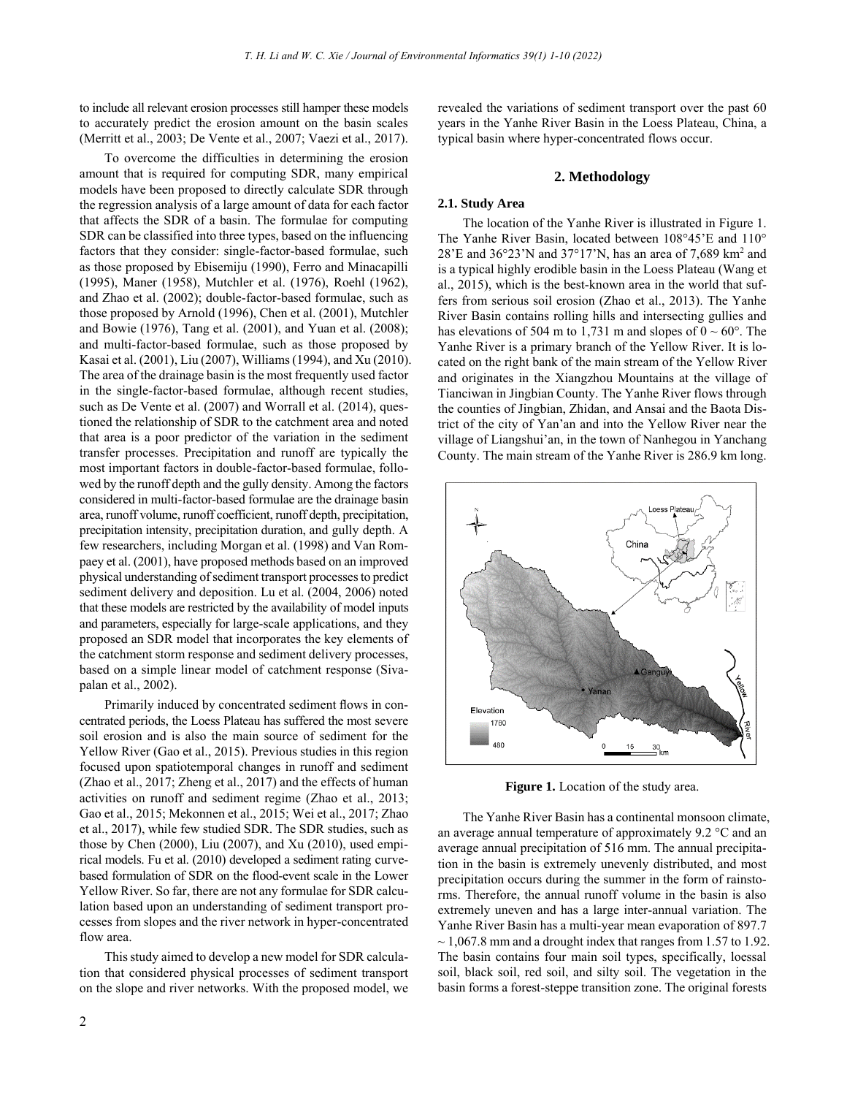to include all relevant erosion processes still hamper these models to accurately predict the erosion amount on the basin scales (Merritt et al., 2003; De Vente et al., 2007; Vaezi et al., 2017).

To overcome the difficulties in determining the erosion amount that is required for computing SDR, many empirical models have been proposed to directly calculate SDR through the regression analysis of a large amount of data for each factor that affects the SDR of a basin. The formulae for computing SDR can be classified into three types, based on the influencing factors that they consider: single-factor-based formulae, such as those proposed by Ebisemiju (1990), Ferro and Minacapilli (1995), Maner (1958), Mutchler et al. (1976), Roehl (1962), and Zhao et al. (2002); double-factor-based formulae, such as those proposed by Arnold (1996), Chen et al. (2001), Mutchler and Bowie (1976), Tang et al. (2001), and Yuan et al. (2008); and multi-factor-based formulae, such as those proposed by Kasai et al. (2001), Liu (2007), Williams (1994), and Xu (2010). The area of the drainage basin is the most frequently used factor in the single-factor-based formulae, although recent studies, such as De Vente et al. (2007) and Worrall et al. (2014), questioned the relationship of SDR to the catchment area and noted that area is a poor predictor of the variation in the sediment transfer processes. Precipitation and runoff are typically the most important factors in double-factor-based formulae, followed by the runoff depth and the gully density. Among the factors considered in multi-factor-based formulae are the drainage basin area, runoff volume, runoff coefficient, runoff depth, precipitation, precipitation intensity, precipitation duration, and gully depth. A few researchers, including Morgan et al. (1998) and Van Rompaey et al. (2001), have proposed methods based on an improved physical understanding of sediment transport processes to predict sediment delivery and deposition. Lu et al. (2004, 2006) noted that these models are restricted by the availability of model inputs and parameters, especially for large-scale applications, and they proposed an SDR model that incorporates the key elements of the catchment storm response and sediment delivery processes, based on a simple linear model of catchment response (Sivapalan et al., 2002).

Primarily induced by concentrated sediment flows in concentrated periods, the Loess Plateau has suffered the most severe soil erosion and is also the main source of sediment for the Yellow River (Gao et al., 2015). Previous studies in this region focused upon spatiotemporal changes in runoff and sediment (Zhao et al., 2017; Zheng et al., 2017) and the effects of human activities on runoff and sediment regime (Zhao et al., 2013; Gao et al., 2015; Mekonnen et al., 2015; Wei et al., 2017; Zhao et al., 2017), while few studied SDR. The SDR studies, such as those by Chen (2000), Liu (2007), and Xu (2010), used empirical models. Fu et al. (2010) developed a sediment rating curvebased formulation of SDR on the flood-event scale in the Lower Yellow River. So far, there are not any formulae for SDR calculation based upon an understanding of sediment transport processes from slopes and the river network in hyper-concentrated flow area.

This study aimed to develop a new model for SDR calculation that considered physical processes of sediment transport on the slope and river networks. With the proposed model, we revealed the variations of sediment transport over the past 60 years in the Yanhe River Basin in the Loess Plateau, China, a typical basin where hyper-concentrated flows occur.

### **2. Methodology**

### **2.1. Study Area**

The location of the Yanhe River is illustrated in Figure 1. The Yanhe River Basin, located between 108°45'E and 110° 28'E and 36°23'N and 37°17'N, has an area of 7,689 km<sup>2</sup> and is a typical highly erodible basin in the Loess Plateau (Wang et al., 2015), which is the best-known area in the world that suffers from serious soil erosion (Zhao et al., 2013). The Yanhe River Basin contains rolling hills and intersecting gullies and has elevations of 504 m to 1,731 m and slopes of  $0 \sim 60^{\circ}$ . The Yanhe River is a primary branch of the Yellow River. It is located on the right bank of the main stream of the Yellow River and originates in the Xiangzhou Mountains at the village of Tianciwan in Jingbian County. The Yanhe River flows through the counties of Jingbian, Zhidan, and Ansai and the Baota District of the city of Yan'an and into the Yellow River near the village of Liangshui'an, in the town of Nanhegou in Yanchang County. The main stream of the Yanhe River is 286.9 km long.



**Figure 1.** Location of the study area.

The Yanhe River Basin has a continental monsoon climate, an average annual temperature of approximately 9.2 °C and an average annual precipitation of 516 mm. The annual precipitation in the basin is extremely unevenly distributed, and most precipitation occurs during the summer in the form of rainstorms. Therefore, the annual runoff volume in the basin is also extremely uneven and has a large inter-annual variation. The Yanhe River Basin has a multi-year mean evaporation of 897.7  $\sim$  1,067.8 mm and a drought index that ranges from 1.57 to 1.92. The basin contains four main soil types, specifically, loessal soil, black soil, red soil, and silty soil. The vegetation in the basin forms a forest-steppe transition zone. The original forests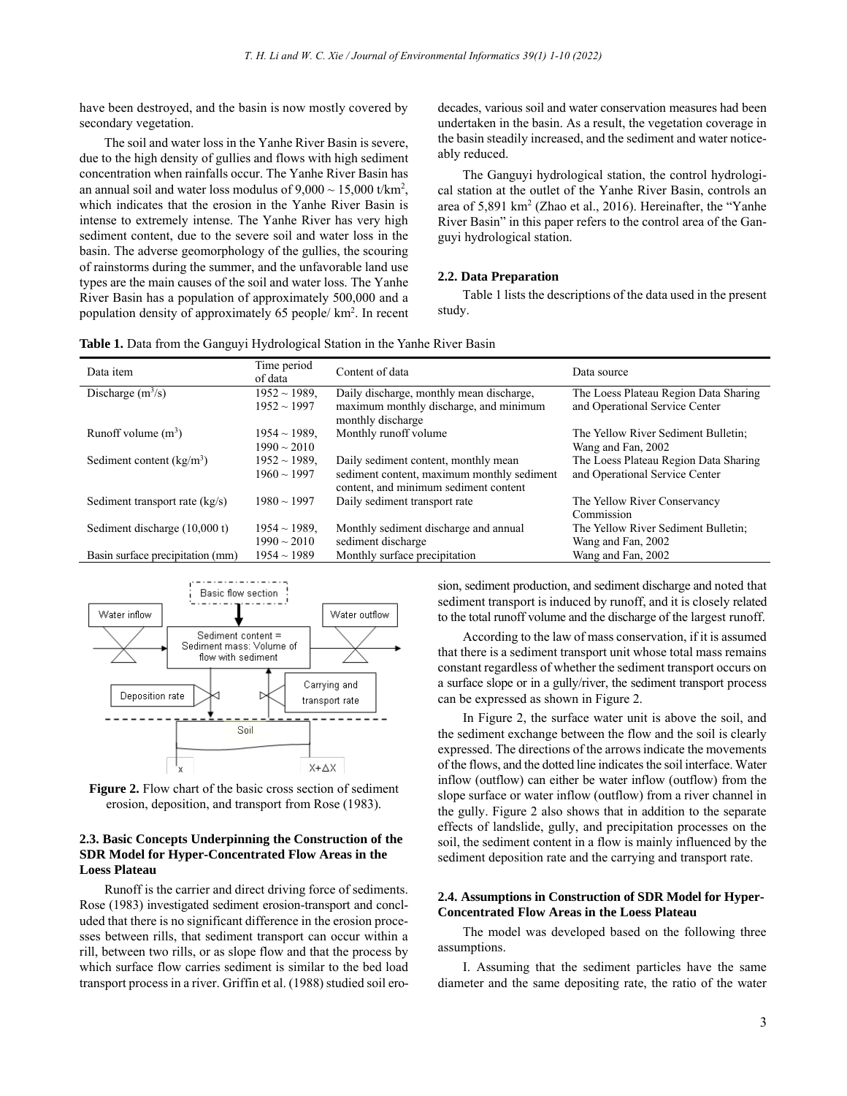have been destroyed, and the basin is now mostly covered by secondary vegetation.

The soil and water loss in the Yanhe River Basin is severe, due to the high density of gullies and flows with high sediment concentration when rainfalls occur. The Yanhe River Basin has an annual soil and water loss modulus of  $9,000 \sim 15,000$  t/km<sup>2</sup>, which indicates that the erosion in the Yanhe River Basin is intense to extremely intense. The Yanhe River has very high sediment content, due to the severe soil and water loss in the basin. The adverse geomorphology of the gullies, the scouring of rainstorms during the summer, and the unfavorable land use types are the main causes of the soil and water loss. The Yanhe River Basin has a population of approximately 500,000 and a population density of approximately 65 people/ km<sup>2</sup> . In recent decades, various soil and water conservation measures had been undertaken in the basin. As a result, the vegetation coverage in the basin steadily increased, and the sediment and water noticeably reduced.

The Ganguyi hydrological station, the control hydrological station at the outlet of the Yanhe River Basin, controls an area of 5,891 km<sup>2</sup> (Zhao et al., 2016). Hereinafter, the "Yanhe River Basin" in this paper refers to the control area of the Ganguyi hydrological station.

#### **2.2. Data Preparation**

Table 1 lists the descriptions of the data used in the present study.

|  |  |  | Table 1. Data from the Ganguyi Hydrological Station in the Yanhe River Basin |
|--|--|--|------------------------------------------------------------------------------|
|--|--|--|------------------------------------------------------------------------------|

| Data item                        | Time period<br>of data | Content of data                                                                     | Data source                           |
|----------------------------------|------------------------|-------------------------------------------------------------------------------------|---------------------------------------|
| Discharge $(m^3/s)$              | $1952 \sim 1989$ ,     | Daily discharge, monthly mean discharge,                                            | The Loess Plateau Region Data Sharing |
|                                  | $1952 \sim 1997$       | maximum monthly discharge, and minimum<br>monthly discharge                         | and Operational Service Center        |
| Runoff volume $(m^3)$            | $1954 \sim 1989$ .     | Monthly runoff volume                                                               | The Yellow River Sediment Bulletin;   |
|                                  | $1990 \sim 2010$       |                                                                                     | Wang and Fan, 2002                    |
| Sediment content $(kg/m3)$       | $1952 \sim 1989$ .     | Daily sediment content, monthly mean                                                | The Loess Plateau Region Data Sharing |
|                                  | $1960 \sim 1997$       | sediment content, maximum monthly sediment<br>content, and minimum sediment content | and Operational Service Center        |
| Sediment transport rate $(kg/s)$ | $1980 \sim 1997$       | Daily sediment transport rate                                                       | The Yellow River Conservancy          |
|                                  |                        |                                                                                     | Commission                            |
| Sediment discharge (10,000 t)    | $1954 \sim 1989$ ,     | Monthly sediment discharge and annual                                               | The Yellow River Sediment Bulletin;   |
|                                  | $1990 \sim 2010$       | sediment discharge                                                                  | Wang and Fan, 2002                    |
| Basin surface precipitation (mm) | $1954 \sim 1989$       | Monthly surface precipitation                                                       | Wang and Fan, 2002                    |



**Figure 2.** Flow chart of the basic cross section of sediment erosion, deposition, and transport from Rose (1983).

# **2.3. Basic Concepts Underpinning the Construction of the SDR Model for Hyper-Concentrated Flow Areas in the Loess Plateau**

Runoff is the carrier and direct driving force of sediments. Rose (1983) investigated sediment erosion-transport and concluded that there is no significant difference in the erosion processes between rills, that sediment transport can occur within a rill, between two rills, or as slope flow and that the process by which surface flow carries sediment is similar to the bed load transport process in a river. Griffin et al. (1988) studied soil erosion, sediment production, and sediment discharge and noted that sediment transport is induced by runoff, and it is closely related to the total runoff volume and the discharge of the largest runoff.

According to the law of mass conservation, if it is assumed that there is a sediment transport unit whose total mass remains constant regardless of whether the sediment transport occurs on a surface slope or in a gully/river, the sediment transport process can be expressed as shown in Figure 2.

In Figure 2, the surface water unit is above the soil, and the sediment exchange between the flow and the soil is clearly expressed. The directions of the arrows indicate the movements of the flows, and the dotted line indicates the soil interface. Water inflow (outflow) can either be water inflow (outflow) from the slope surface or water inflow (outflow) from a river channel in the gully. Figure 2 also shows that in addition to the separate effects of landslide, gully, and precipitation processes on the soil, the sediment content in a flow is mainly influenced by the sediment deposition rate and the carrying and transport rate.

# **2.4. Assumptions in Construction of SDR Model for Hyper-Concentrated Flow Areas in the Loess Plateau**

The model was developed based on the following three assumptions.

I. Assuming that the sediment particles have the same diameter and the same depositing rate, the ratio of the water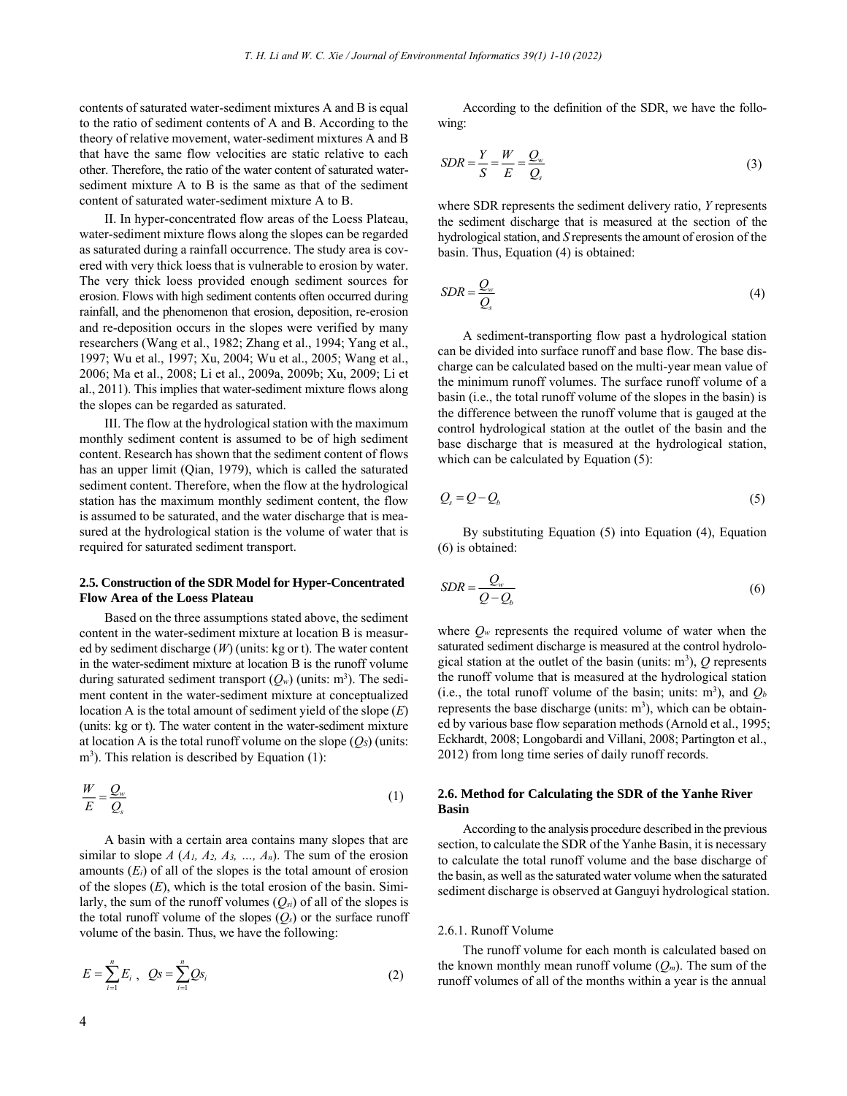contents of saturated water-sediment mixtures A and B is equal to the ratio of sediment contents of A and B. According to the theory of relative movement, water-sediment mixtures A and B that have the same flow velocities are static relative to each other. Therefore, the ratio of the water content of saturated watersediment mixture A to B is the same as that of the sediment content of saturated water-sediment mixture A to B.

II. In hyper-concentrated flow areas of the Loess Plateau, water-sediment mixture flows along the slopes can be regarded as saturated during a rainfall occurrence. The study area is covered with very thick loess that is vulnerable to erosion by water. The very thick loess provided enough sediment sources for erosion. Flows with high sediment contents often occurred during rainfall, and the phenomenon that erosion, deposition, re-erosion and re-deposition occurs in the slopes were verified by many researchers (Wang et al., 1982; Zhang et al., 1994; Yang et al., 1997; Wu et al., 1997; Xu, 2004; Wu et al., 2005; Wang et al., 2006; Ma et al., 2008; Li et al., 2009a, 2009b; Xu, 2009; Li et al., 2011). This implies that water-sediment mixture flows along the slopes can be regarded as saturated.

III. The flow at the hydrological station with the maximum monthly sediment content is assumed to be of high sediment content. Research has shown that the sediment content of flows has an upper limit (Qian, 1979), which is called the saturated sediment content. Therefore, when the flow at the hydrological station has the maximum monthly sediment content, the flow is assumed to be saturated, and the water discharge that is measured at the hydrological station is the volume of water that is required for saturated sediment transport.

### **2.5. Construction of the SDR Model for Hyper-Concentrated Flow Area of the Loess Plateau**

Based on the three assumptions stated above, the sediment content in the water-sediment mixture at location B is measured by sediment discharge (*W*) (units: kg or t). The water content in the water-sediment mixture at location B is the runoff volume during saturated sediment transport  $(Q_w)$  (units: m<sup>3</sup>). The sediment content in the water-sediment mixture at conceptualized location A is the total amount of sediment yield of the slope (*E*) (units: kg or t). The water content in the water-sediment mixture at location A is the total runoff volume on the slope  $(Q<sub>S</sub>)$  (units: m<sup>3</sup>). This relation is described by Equation (1):

$$
\frac{W}{E} = \frac{Q_w}{Q_s} \tag{1}
$$

A basin with a certain area contains many slopes that are similar to slope  $A$  ( $A_1$ ,  $A_2$ ,  $A_3$ , ...,  $A_n$ ). The sum of the erosion amounts  $(E_i)$  of all of the slopes is the total amount of erosion of the slopes (*E*), which is the total erosion of the basin. Similarly, the sum of the runoff volumes  $(O_{si})$  of all of the slopes is the total runoff volume of the slopes  $(Q_s)$  or the surface runoff volume of the basin. Thus, we have the following:

$$
E = \sum_{i=1}^{n} E_i, \quad Qs = \sum_{i=1}^{n} Qs_i
$$
 (2)

According to the definition of the SDR, we have the following:

$$
SDR = \frac{Y}{S} = \frac{W}{E} = \frac{Q_w}{Q_s}
$$
\n<sup>(3)</sup>

where SDR represents the sediment delivery ratio, *Y* represents the sediment discharge that is measured at the section of the hydrological station, and *S* represents the amount of erosion of the basin. Thus, Equation (4) is obtained:

$$
SDR = \frac{Q_w}{Q_s} \tag{4}
$$

A sediment-transporting flow past a hydrological station can be divided into surface runoff and base flow. The base discharge can be calculated based on the multi-year mean value of the minimum runoff volumes. The surface runoff volume of a basin (i.e., the total runoff volume of the slopes in the basin) is the difference between the runoff volume that is gauged at the control hydrological station at the outlet of the basin and the base discharge that is measured at the hydrological station, which can be calculated by Equation (5):

$$
Q_s = Q - Q_b \tag{5}
$$

By substituting Equation (5) into Equation (4), Equation (6) is obtained:

$$
SDR = \frac{Q_w}{Q - Q_b} \tag{6}
$$

where  $Q_w$  represents the required volume of water when the saturated sediment discharge is measured at the control hydrological station at the outlet of the basin (units:  $m^3$ ),  $Q$  represents the runoff volume that is measured at the hydrological station (i.e., the total runoff volume of the basin; units:  $m^3$ ), and  $Q_b$ represents the base discharge (units:  $m<sup>3</sup>$ ), which can be obtained by various base flow separation methods (Arnold et al., 1995; Eckhardt, 2008; Longobardi and Villani, 2008; Partington et al., 2012) from long time series of daily runoff records.

# **2.6. Method for Calculating the SDR of the Yanhe River Basin**

According to the analysis procedure described in the previous section, to calculate the SDR of the Yanhe Basin, it is necessary to calculate the total runoff volume and the base discharge of the basin, as well as the saturated water volume when the saturated sediment discharge is observed at Ganguyi hydrological station.

### 2.6.1. Runoff Volume

The runoff volume for each month is calculated based on the known monthly mean runoff volume  $(Q_m)$ . The sum of the runoff volumes of all of the months within a year is the annual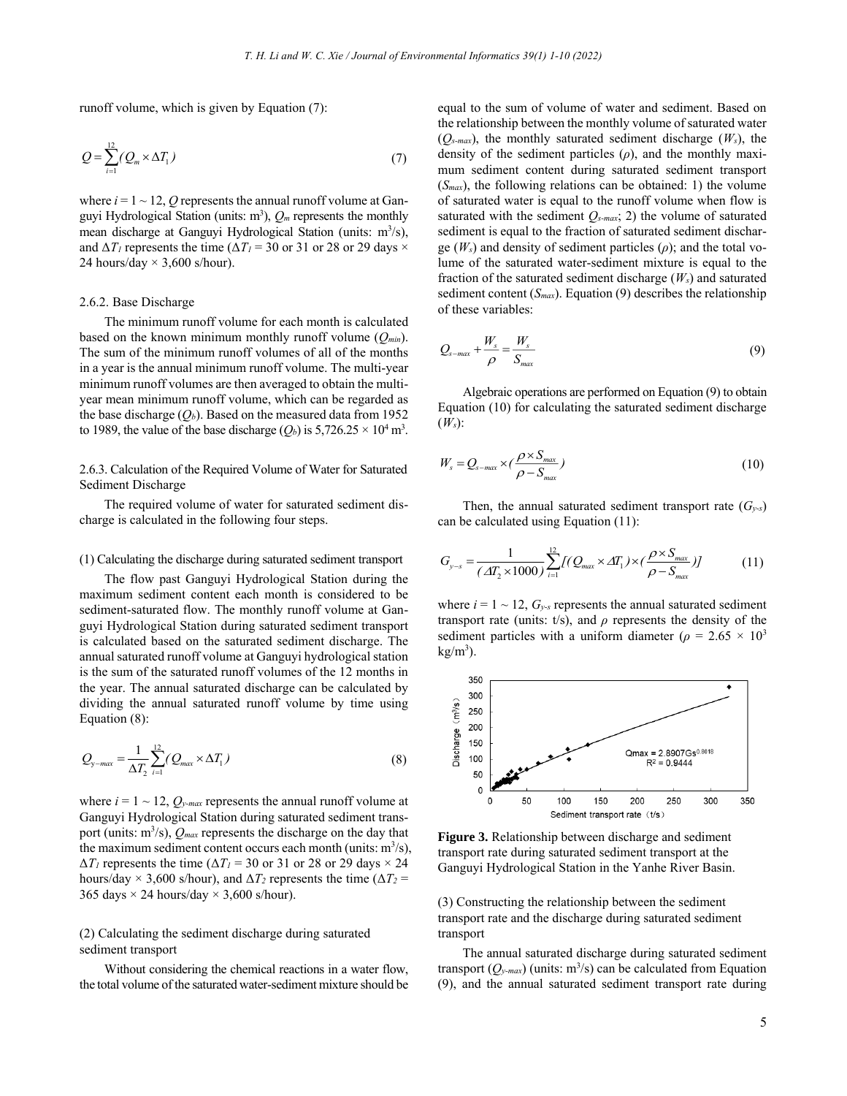runoff volume, which is given by Equation (7):

$$
Q = \sum_{i=1}^{12} (Q_m \times \Delta T_1)
$$
 (7)

where  $i = 1 \sim 12$ , Q represents the annual runoff volume at Ganguyi Hydrological Station (units:  $m^3$ ),  $Q_m$  represents the monthly mean discharge at Ganguyi Hydrological Station (units: m<sup>3</sup>/s), and  $\Delta T_I$  represents the time ( $\Delta T_I = 30$  or 31 or 28 or 29 days  $\times$ 24 hours/day  $\times$  3,600 s/hour).

#### 2.6.2. Base Discharge

The minimum runoff volume for each month is calculated based on the known minimum monthly runoff volume (*Qmin*). The sum of the minimum runoff volumes of all of the months in a year is the annual minimum runoff volume. The multi-year minimum runoff volumes are then averaged to obtain the multiyear mean minimum runoff volume, which can be regarded as the base discharge  $(O_b)$ . Based on the measured data from 1952 to 1989, the value of the base discharge  $(Q_b)$  is 5,726.25  $\times$  10<sup>4</sup> m<sup>3</sup>.

2.6.3. Calculation of the Required Volume of Water for Saturated Sediment Discharge

The required volume of water for saturated sediment discharge is calculated in the following four steps.

#### (1) Calculating the discharge during saturated sediment transport

The flow past Ganguyi Hydrological Station during the maximum sediment content each month is considered to be sediment-saturated flow. The monthly runoff volume at Ganguyi Hydrological Station during saturated sediment transport is calculated based on the saturated sediment discharge. The annual saturated runoff volume at Ganguyi hydrological station is the sum of the saturated runoff volumes of the 12 months in the year. The annual saturated discharge can be calculated by dividing the annual saturated runoff volume by time using Equation (8):

$$
Q_{y-max} = \frac{1}{\Delta T_2} \sum_{i=1}^{12} (Q_{max} \times \Delta T_1)
$$
 (8)

where  $i = 1 \sim 12$ ,  $Q_{y-max}$  represents the annual runoff volume at Ganguyi Hydrological Station during saturated sediment transport (units:  $m^3/s$ ),  $Q_{max}$  represents the discharge on the day that the maximum sediment content occurs each month (units:  $m^3/s$ ),  $\Delta T_I$  represents the time ( $\Delta T_I$  = 30 or 31 or 28 or 29 days  $\times$  24 hours/day  $\times$  3,600 s/hour), and  $\Delta T_2$  represents the time ( $\Delta T_2$  = 365 days  $\times$  24 hours/day  $\times$  3,600 s/hour).

# (2) Calculating the sediment discharge during saturated sediment transport

Without considering the chemical reactions in a water flow, the total volume of the saturated water-sediment mixture should be equal to the sum of volume of water and sediment. Based on the relationship between the monthly volume of saturated water  $(O_{s-max})$ , the monthly saturated sediment discharge  $(W_s)$ , the density of the sediment particles (*ρ*), and the monthly maximum sediment content during saturated sediment transport (*Smax*), the following relations can be obtained: 1) the volume of saturated water is equal to the runoff volume when flow is saturated with the sediment *Qs-max*; 2) the volume of saturated sediment is equal to the fraction of saturated sediment discharge  $(W_s)$  and density of sediment particles  $(\rho)$ ; and the total volume of the saturated water-sediment mixture is equal to the fraction of the saturated sediment discharge (*Ws*) and saturated sediment content (*Smax*). Equation (9) describes the relationship of these variables:

$$
Q_{s-max} + \frac{W_s}{\rho} = \frac{W_s}{S_{max}} \tag{9}
$$

Algebraic operations are performed on Equation (9) to obtain Equation (10) for calculating the saturated sediment discharge  $(W<sub>s</sub>)$ :

$$
W_s = Q_{s-max} \times (\frac{\rho \times S_{max}}{\rho - S_{max}})
$$
\n(10)

Then, the annual saturated sediment transport rate  $(G_{y-s})$ can be calculated using Equation (11):

$$
G_{y-s} = \frac{1}{\left(\Delta T_2 \times 1000\right)} \sum_{i=1}^{12} I(Q_{max} \times \Delta T_1) \times \left(\frac{\rho \times S_{max}}{\rho - S_{max}}\right) J \tag{11}
$$

where  $i = 1 \sim 12$ ,  $G_{y-s}$  represents the annual saturated sediment transport rate (units: t/s), and *ρ* represents the density of the sediment particles with a uniform diameter ( $\rho = 2.65 \times 10^3$  $kg/m<sup>3</sup>$ ).



**Figure 3.** Relationship between discharge and sediment transport rate during saturated sediment transport at the Ganguyi Hydrological Station in the Yanhe River Basin.

(3) Constructing the relationship between the sediment transport rate and the discharge during saturated sediment transport

The annual saturated discharge during saturated sediment transport  $(Q_{y\text{-}max})$  (units:  $\text{m}^3$ /s) can be calculated from Equation (9), and the annual saturated sediment transport rate during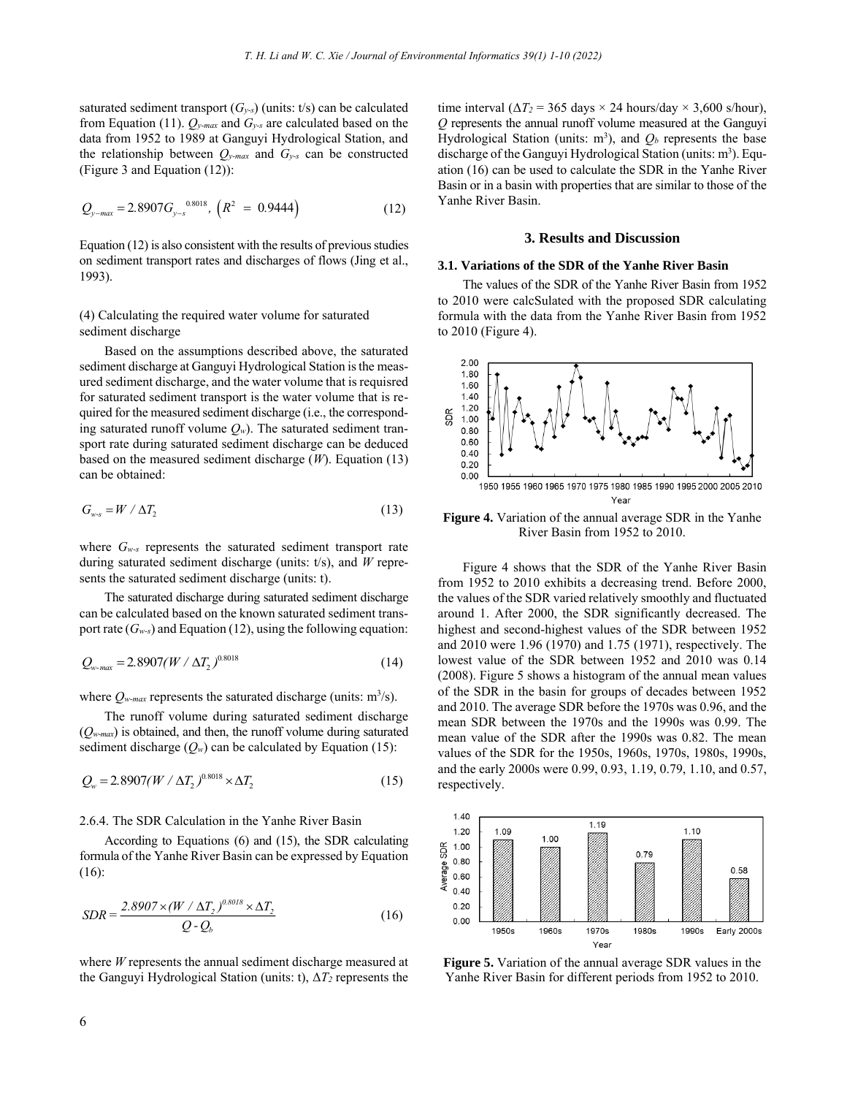saturated sediment transport  $(G_{y-s})$  (units: t/s) can be calculated from Equation (11). *Qy-max* and *Gy-s* are calculated based on the data from 1952 to 1989 at Ganguyi Hydrological Station, and the relationship between  $Q_{y\text{-}max}$  and  $G_{y\text{-}s}$  can be constructed (Figure 3 and Equation (12)):

$$
Q_{y-max} = 2.8907 G_{y-s}^{0.8018}, (R^2 = 0.9444)
$$
 (12)

Equation (12) is also consistent with the results of previous studies on sediment transport rates and discharges of flows (Jing et al., 1993).

### (4) Calculating the required water volume for saturated sediment discharge

Based on the assumptions described above, the saturated sediment discharge at Ganguyi Hydrological Station is the measured sediment discharge, and the water volume that is requisred for saturated sediment transport is the water volume that is required for the measured sediment discharge (i.e., the corresponding saturated runoff volume  $Q_w$ ). The saturated sediment transport rate during saturated sediment discharge can be deduced based on the measured sediment discharge (*W*). Equation (13) can be obtained:

$$
G_{w-s} = W / \Delta T_2 \tag{13}
$$

where *Gw-s* represents the saturated sediment transport rate during saturated sediment discharge (units: t/s), and *W* represents the saturated sediment discharge (units: t).

The saturated discharge during saturated sediment discharge can be calculated based on the known saturated sediment transport rate (*Gw-s*) and Equation (12), using the following equation:

$$
Q_{w\text{-}max} = 2.8907(W / \Delta T_2)^{0.8018} \tag{14}
$$

where  $Q_{w\text{-}max}$  represents the saturated discharge (units:  $\text{m}^3\text{/s}$ ).

The runoff volume during saturated sediment discharge (*Qw-max*) is obtained, and then, the runoff volume during saturated sediment discharge  $(Q_w)$  can be calculated by Equation (15):

$$
Q_w = 2.8907(W / \Delta T_2)^{0.8018} \times \Delta T_2 \tag{15}
$$

### 2.6.4. The SDR Calculation in the Yanhe River Basin

According to Equations (6) and (15), the SDR calculating formula of the Yanhe River Basin can be expressed by Equation (16):

$$
SDR = \frac{2.8907 \times (W / \Delta T_2)^{0.8018} \times \Delta T_2}{Q - Q_b}
$$
(16)

where *W* represents the annual sediment discharge measured at the Ganguyi Hydrological Station (units: t), Δ*T2* represents the time interval ( $\Delta T_2$  = 365 days × 24 hours/day × 3,600 s/hour), *Q* represents the annual runoff volume measured at the Ganguyi Hydrological Station (units:  $m^3$ ), and  $Q_b$  represents the base discharge of the Ganguyi Hydrological Station (units: m<sup>3</sup>). Equation (16) can be used to calculate the SDR in the Yanhe River Basin or in a basin with properties that are similar to those of the Yanhe River Basin.

### **3. Results and Discussion**

### **3.1. Variations of the SDR of the Yanhe River Basin**

The values of the SDR of the Yanhe River Basin from 1952 to 2010 were calcSulated with the proposed SDR calculating formula with the data from the Yanhe River Basin from 1952 to 2010 (Figure 4).



**Figure 4.** Variation of the annual average SDR in the Yanhe River Basin from 1952 to 2010.

Figure 4 shows that the SDR of the Yanhe River Basin from 1952 to 2010 exhibits a decreasing trend. Before 2000, the values of the SDR varied relatively smoothly and fluctuated around 1. After 2000, the SDR significantly decreased. The highest and second-highest values of the SDR between 1952 and 2010 were 1.96 (1970) and 1.75 (1971), respectively. The lowest value of the SDR between 1952 and 2010 was 0.14 (2008). Figure 5 shows a histogram of the annual mean values of the SDR in the basin for groups of decades between 1952 and 2010. The average SDR before the 1970s was 0.96, and the mean SDR between the 1970s and the 1990s was 0.99. The mean value of the SDR after the 1990s was 0.82. The mean values of the SDR for the 1950s, 1960s, 1970s, 1980s, 1990s, and the early 2000s were 0.99, 0.93, 1.19, 0.79, 1.10, and 0.57, respectively.



**Figure 5.** Variation of the annual average SDR values in the Yanhe River Basin for different periods from 1952 to 2010.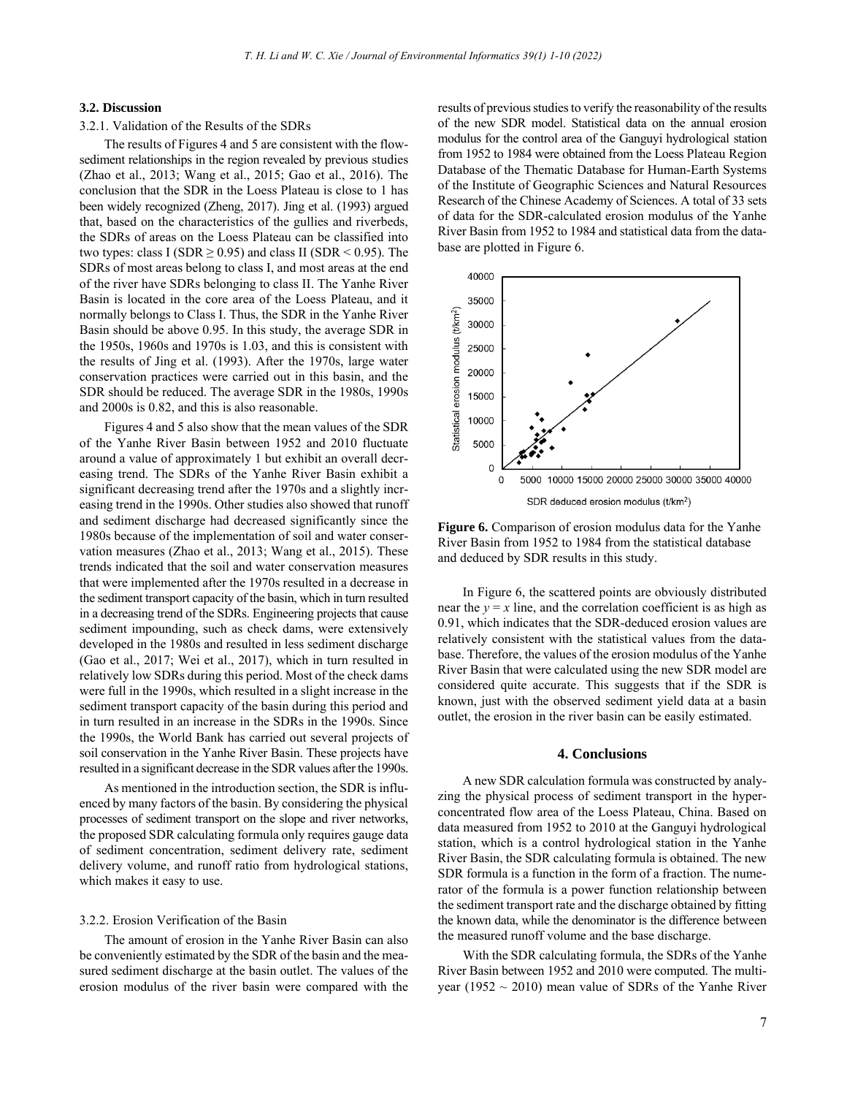### **3.2. Discussion**

#### 3.2.1. Validation of the Results of the SDRs

The results of Figures 4 and 5 are consistent with the flowsediment relationships in the region revealed by previous studies (Zhao et al., 2013; Wang et al., 2015; Gao et al., 2016). The conclusion that the SDR in the Loess Plateau is close to 1 has been widely recognized (Zheng, 2017). Jing et al. (1993) argued that, based on the characteristics of the gullies and riverbeds, the SDRs of areas on the Loess Plateau can be classified into two types: class I (SDR  $\geq$  0.95) and class II (SDR < 0.95). The SDRs of most areas belong to class I, and most areas at the end of the river have SDRs belonging to class II. The Yanhe River Basin is located in the core area of the Loess Plateau, and it normally belongs to Class I. Thus, the SDR in the Yanhe River Basin should be above 0.95. In this study, the average SDR in the 1950s, 1960s and 1970s is 1.03, and this is consistent with the results of Jing et al. (1993). After the 1970s, large water conservation practices were carried out in this basin, and the SDR should be reduced. The average SDR in the 1980s, 1990s and 2000s is 0.82, and this is also reasonable.

Figures 4 and 5 also show that the mean values of the SDR of the Yanhe River Basin between 1952 and 2010 fluctuate around a value of approximately 1 but exhibit an overall decreasing trend. The SDRs of the Yanhe River Basin exhibit a significant decreasing trend after the 1970s and a slightly increasing trend in the 1990s. Other studies also showed that runoff and sediment discharge had decreased significantly since the 1980s because of the implementation of soil and water conservation measures (Zhao et al., 2013; Wang et al., 2015). These trends indicated that the soil and water conservation measures that were implemented after the 1970s resulted in a decrease in the sediment transport capacity of the basin, which in turn resulted in a decreasing trend of the SDRs. Engineering projects that cause sediment impounding, such as check dams, were extensively developed in the 1980s and resulted in less sediment discharge (Gao et al., 2017; Wei et al., 2017), which in turn resulted in relatively low SDRs during this period. Most of the check dams were full in the 1990s, which resulted in a slight increase in the sediment transport capacity of the basin during this period and in turn resulted in an increase in the SDRs in the 1990s. Since the 1990s, the World Bank has carried out several projects of soil conservation in the Yanhe River Basin. These projects have resulted in a significant decrease in the SDR values after the 1990s.

As mentioned in the introduction section, the SDR is influenced by many factors of the basin. By considering the physical processes of sediment transport on the slope and river networks, the proposed SDR calculating formula only requires gauge data of sediment concentration, sediment delivery rate, sediment delivery volume, and runoff ratio from hydrological stations, which makes it easy to use.

### 3.2.2. Erosion Verification of the Basin

The amount of erosion in the Yanhe River Basin can also be conveniently estimated by the SDR of the basin and the measured sediment discharge at the basin outlet. The values of the erosion modulus of the river basin were compared with the

results of previous studies to verify the reasonability of the results of the new SDR model. Statistical data on the annual erosion modulus for the control area of the Ganguyi hydrological station from 1952 to 1984 were obtained from the Loess Plateau Region Database of the Thematic Database for Human-Earth Systems of the Institute of Geographic Sciences and Natural Resources Research of the Chinese Academy of Sciences. A total of 33 sets of data for the SDR-calculated erosion modulus of the Yanhe River Basin from 1952 to 1984 and statistical data from the database are plotted in Figure 6.



**Figure 6.** Comparison of erosion modulus data for the Yanhe River Basin from 1952 to 1984 from the statistical database and deduced by SDR results in this study.

In Figure 6, the scattered points are obviously distributed near the  $y = x$  line, and the correlation coefficient is as high as 0.91, which indicates that the SDR-deduced erosion values are relatively consistent with the statistical values from the database. Therefore, the values of the erosion modulus of the Yanhe River Basin that were calculated using the new SDR model are considered quite accurate. This suggests that if the SDR is known, just with the observed sediment yield data at a basin outlet, the erosion in the river basin can be easily estimated.

### **4. Conclusions**

A new SDR calculation formula was constructed by analyzing the physical process of sediment transport in the hyperconcentrated flow area of the Loess Plateau, China. Based on data measured from 1952 to 2010 at the Ganguyi hydrological station, which is a control hydrological station in the Yanhe River Basin, the SDR calculating formula is obtained. The new SDR formula is a function in the form of a fraction. The numerator of the formula is a power function relationship between the sediment transport rate and the discharge obtained by fitting the known data, while the denominator is the difference between the measured runoff volume and the base discharge.

With the SDR calculating formula, the SDRs of the Yanhe River Basin between 1952 and 2010 were computed. The multiyear (1952  $\sim$  2010) mean value of SDRs of the Yanhe River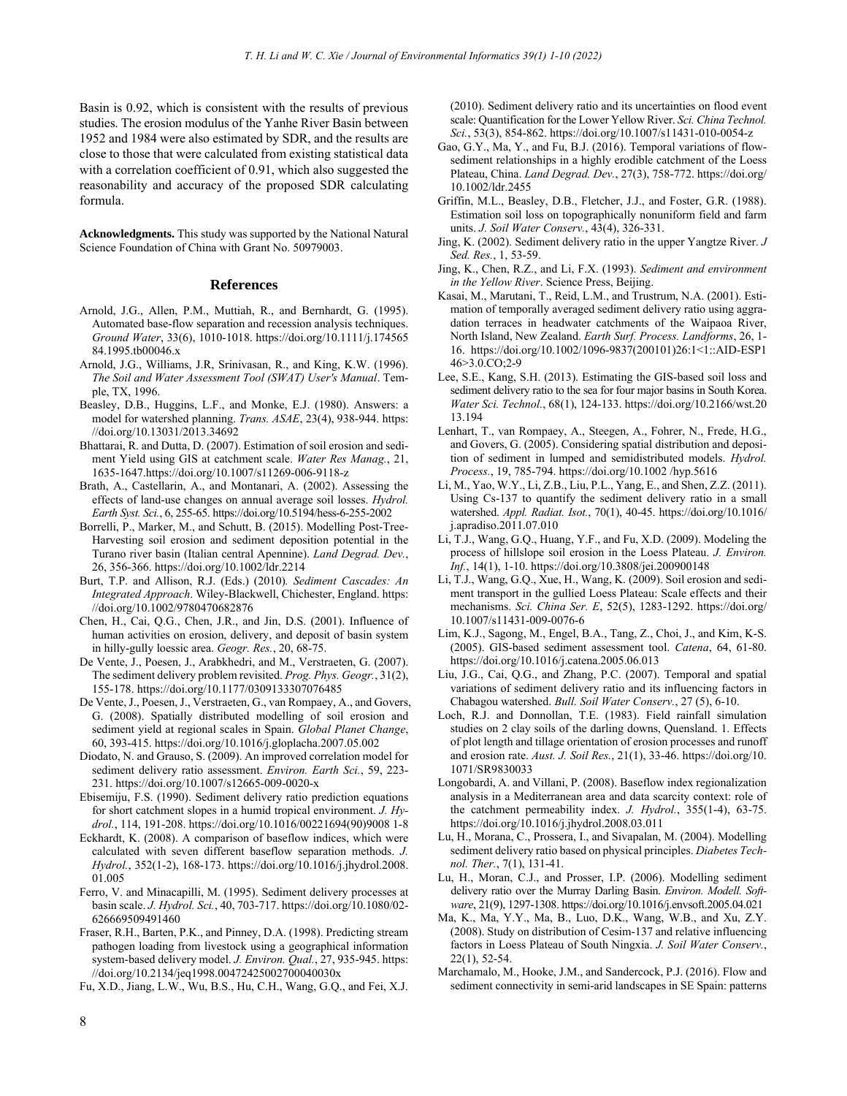Basin is 0.92, which is consistent with the results of previous studies. The erosion modulus of the Yanhe River Basin between 1952 and 1984 were also estimated by SDR, and the results are close to those that were calculated from existing statistical data with a correlation coefficient of 0.91, which also suggested the reasonability and accuracy of the proposed SDR calculating formula.

**Acknowledgments.** This study was supported by the National Natural Science Foundation of China with Grant No. 50979003.

### **References**

- Arnold, J.G., Allen, P.M., Muttiah, R., and Bernhardt, G. (1995). Automated base-flow separation and recession analysis techniques. *Ground Water*, 33(6), 1010-1018. https://doi.org/10.1111/j.174565 84.1995.tb00046.x
- Arnold, J.G., Williams, J.R, Srinivasan, R., and King, K.W. (1996). *The Soil and Water Assessment Tool (SWAT) User's Manual*. Temple, TX, 1996.
- Beasley, D.B., Huggins, L.F., and Monke, E.J. (1980). Answers: a model for watershed planning. *Trans. ASAE*, 23(4), 938-944. https: //doi.org/10.13031/2013.34692
- Bhattarai, R. and Dutta, D. (2007). Estimation of soil erosion and sediment Yield using GIS at catchment scale. *Water Res Manag.*, 21, 1635-1647.https://doi.org/10.1007/s11269-006-9118-z
- Brath, A., Castellarin, A., and Montanari, A. (2002). Assessing the effects of land-use changes on annual average soil losses. *Hydrol. Earth Syst. Sci.*, 6, 255-65. https://doi.org/10.5194/hess-6-255-2002
- Borrelli, P., Marker, M., and Schutt, B. (2015). Modelling Post-Tree-Harvesting soil erosion and sediment deposition potential in the Turano river basin (Italian central Apennine). *Land Degrad. Dev.*, 26, 356-366. https://doi.org/10.1002/ldr.2214
- Burt, T.P. and Allison, R.J. (Eds.) (2010)*. Sediment Cascades: An Integrated Approach*. Wiley-Blackwell, Chichester, England. https: //doi.org/10.1002/9780470682876
- Chen, H., Cai, Q.G., Chen, J.R., and Jin, D.S. (2001). Influence of human activities on erosion, delivery, and deposit of basin system in hilly-gully loessic area. *Geogr. Res.*, 20, 68-75.
- De Vente, J., Poesen, J., Arabkhedri, and M., Verstraeten, G. (2007). The sediment delivery problem revisited. *Prog. Phys. Geogr.*, 31(2), 155-178. https://doi.org/10.1177/0309133307076485
- De Vente, J., Poesen, J., Verstraeten, G., van Rompaey, A., and Govers, G. (2008). Spatially distributed modelling of soil erosion and sediment yield at regional scales in Spain. *Global Planet Change*, 60, 393-415. https://doi.org/10.1016/j.gloplacha.2007.05.002
- Diodato, N. and Grauso, S. (2009). An improved correlation model for sediment delivery ratio assessment. *Environ. Earth Sci.*, 59, 223- 231. https://doi.org/10.1007/s12665-009-0020-x
- Ebisemiju, F.S. (1990). Sediment delivery ratio prediction equations for short catchment slopes in a humid tropical environment. *J. Hydrol.*, 114, 191-208. https://doi.org/10.1016/00221694(90)9008 1-8
- Eckhardt, K. (2008). A comparison of baseflow indices, which were calculated with seven different baseflow separation methods. *J. Hydrol.*, 352(1-2), 168-173. https://doi.org/10.1016/j.jhydrol.2008. 01.005
- Ferro, V. and Minacapilli, M. (1995). Sediment delivery processes at basin scale. *J. Hydrol. Sci.*, 40, 703-717. https://doi.org/10.1080/02- 626669509491460
- Fraser, R.H., Barten, P.K., and Pinney, D.A. (1998). Predicting stream pathogen loading from livestock using a geographical information system-based delivery model. *J. Environ. Qual.*, 27, 935-945. https: //doi.org/10.2134/jeq1998.00472425002700040030x
- Fu, X.D., Jiang, L.W., Wu, B.S., Hu, C.H., Wang, G.Q., and Fei, X.J.

(2010). Sediment delivery ratio and its uncertainties on flood event scale: Quantification for the Lower Yellow River. *Sci. China Technol. Sci.*, 53(3), 854-862. https://doi.org/10.1007/s11431-010-0054-z

- Gao, G.Y., Ma, Y., and Fu, B.J. (2016). Temporal variations of flowsediment relationships in a highly erodible catchment of the Loess Plateau, China. *Land Degrad. Dev.*, 27(3), 758-772. https://doi.org/ 10.1002/ldr.2455
- Griffin, M.L., Beasley, D.B., Fletcher, J.J., and Foster, G.R. (1988). Estimation soil loss on topographically nonuniform field and farm units. *J. Soil Water Conserv.*, 43(4), 326-331.
- Jing, K. (2002). Sediment delivery ratio in the upper Yangtze River. *J Sed. Res.*, 1, 53-59.
- Jing, K., Chen, R.Z., and Li, F.X. (1993). *Sediment and environment in the Yellow River*. Science Press, Beijing.
- Kasai, M., Marutani, T., Reid, L.M., and Trustrum, N.A. (2001). Estimation of temporally averaged sediment delivery ratio using aggradation terraces in headwater catchments of the Waipaoa River, North Island, New Zealand. *Earth Surf. Process. Landforms*, 26, 1- 16. https://doi.org/10.1002/1096-9837(200101)26:1<1::AID-ESP1 46>3.0.CO;2-9
- Lee, S.E., Kang, S.H. (2013). Estimating the GIS-based soil loss and sediment delivery ratio to the sea for four major basins in South Korea. *Water Sci. Technol.*, 68(1), 124-133. https://doi.org/10.2166/wst.20 13.194
- Lenhart, T., van Rompaey, A., Steegen, A., Fohrer, N., Frede, H.G., and Govers, G. (2005). Considering spatial distribution and deposition of sediment in lumped and semidistributed models. *Hydrol. Process.*, 19, 785-794. https://doi.org/10.1002 /hyp.5616
- Li, M., Yao, W.Y., Li, Z.B., Liu, P.L., Yang, E., and Shen, Z.Z. (2011). Using Cs-137 to quantify the sediment delivery ratio in a small watershed. *Appl. Radiat. Isot.*, 70(1), 40-45. https://doi.org/10.1016/ j.apradiso.2011.07.010
- Li, T.J., Wang, G.Q., Huang, Y.F., and Fu, X.D. (2009). Modeling the process of hillslope soil erosion in the Loess Plateau. *J. Environ. Inf.*, 14(1), 1-10. https://doi.org/10.3808/jei.200900148
- Li, T.J., Wang, G.Q., Xue, H., Wang, K. (2009). Soil erosion and sediment transport in the gullied Loess Plateau: Scale effects and their mechanisms. *Sci. China Ser. E*, 52(5), 1283-1292. https://doi.org/ 10.1007/s11431-009-0076-6
- Lim, K.J., Sagong, M., Engel, B.A., Tang, Z., Choi, J., and Kim, K-S. (2005). GIS-based sediment assessment tool. *Catena*, 64, 61-80. https://doi.org/10.1016/j.catena.2005.06.013
- Liu, J.G., Cai, Q.G., and Zhang, P.C. (2007). Temporal and spatial variations of sediment delivery ratio and its influencing factors in Chabagou watershed. *Bull. Soil Water Conserv.*, 27 (5), 6-10.
- Loch, R.J. and Donnollan, T.E. (1983). Field rainfall simulation studies on 2 clay soils of the darling downs, Quensland. 1. Effects of plot length and tillage orientation of erosion processes and runoff and erosion rate. *Aust. J. Soil Res.*, 21(1), 33-46. https://doi.org/10. 1071/SR9830033
- Longobardi, A. and Villani, P. (2008). Baseflow index regionalization analysis in a Mediterranean area and data scarcity context: role of the catchment permeability index. *J. Hydrol.*, 355(1-4), 63-75. https://doi.org/10.1016/j.jhydrol.2008.03.011
- Lu, H., Morana, C., Prossera, I., and Sivapalan, M. (2004). Modelling sediment delivery ratio based on physical principles. *Diabetes Technol. Ther.*, 7(1), 131-41.
- Lu, H., Moran, C.J., and Prosser, I.P. (2006). Modelling sediment delivery ratio over the Murray Darling Basin. *Environ. Modell. Software*, 21(9), 1297-1308. https://doi.org/10.1016/j.envsoft.2005.04.021
- Ma, K., Ma, Y.Y., Ma, B., Luo, D.K., Wang, W.B., and Xu, Z.Y. (2008). Study on distribution of Cesim-137 and relative influencing factors in Loess Plateau of South Ningxia. *J. Soil Water Conserv.*, 22(1), 52-54.
- Marchamalo, M., Hooke, J.M., and Sandercock, P.J. (2016). Flow and sediment connectivity in semi-arid landscapes in SE Spain: patterns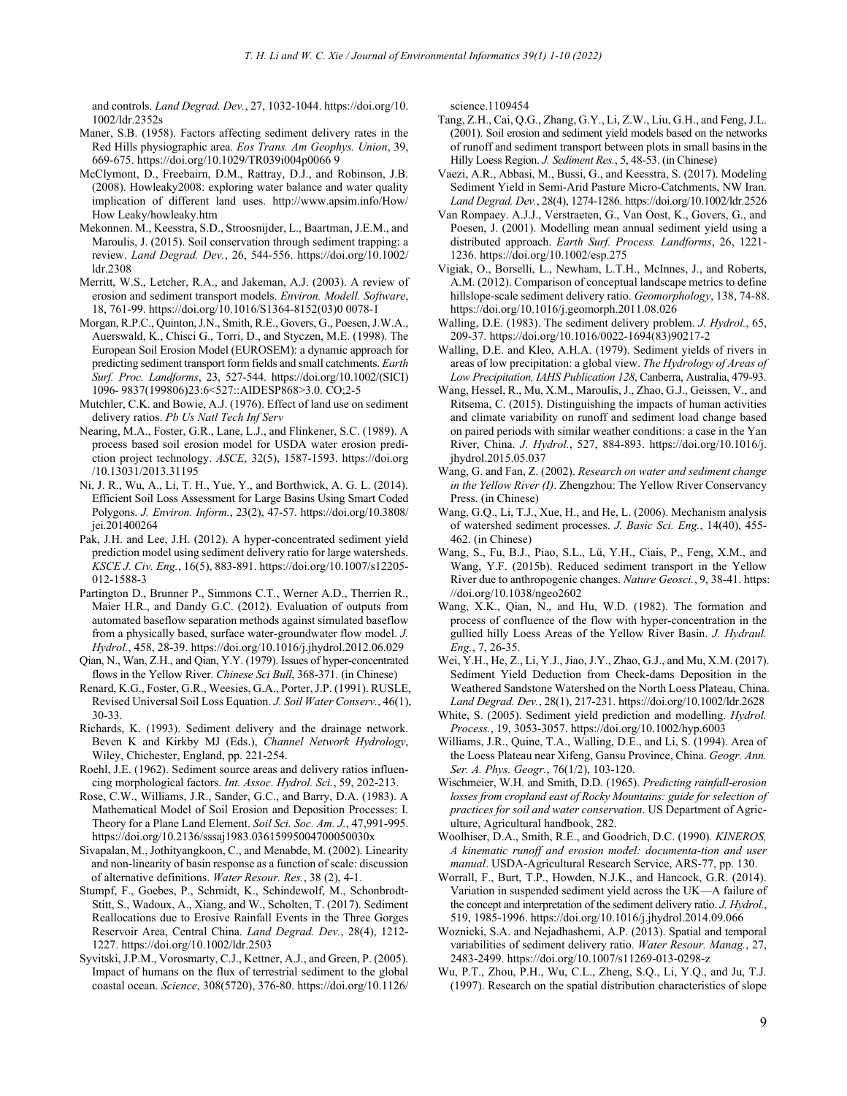and controls. *Land Degrad. Dev.*, 27, 1032-1044. https://doi.org/10. 1002/ldr.2352s

- Maner, S.B. (1958). Factors affecting sediment delivery rates in the Red Hills physiographic area. *Eos Trans. Am Geophys. Union*, 39, 669-675. https://doi.org/10.1029/TR039i004p0066 9
- McClymont, D., Freebairn, D.M., Rattray, D.J., and Robinson, J.B. (2008). Howleaky2008: exploring water balance and water quality implication of different land uses. http://www.apsim.info/How/ How Leaky/howleaky.htm
- Mekonnen. M., Keesstra, S.D., Stroosnijder, L., Baartman, J.E.M., and Maroulis, J. (2015). Soil conservation through sediment trapping: a review. *Land Degrad. Dev.*, 26, 544-556. https://doi.org/10.1002/ ldr.2308
- Merritt, W.S., Letcher, R.A., and Jakeman, A.J. (2003). A review of erosion and sediment transport models. *Environ. Modell. Software*, 18, 761-99. https://doi.org/10.1016/S1364-8152(03)0 0078-1
- Morgan, R.P.C., Quinton, J.N., Smith, R.E., Govers, G., Poesen, J.W.A., Auerswald, K., Chisci G., Torri, D., and Styczen, M.E. (1998). The European Soil Erosion Model (EUROSEM): a dynamic approach for predicting sediment transport form fields and small catchments. *Earth Surf. Proc. Landforms*, 23, 527-544. https://doi.org/10.1002/(SICI) 1096- 9837(199806)23:6<527::AIDESP868>3.0. CO;2-5
- Mutchler, C.K. and Bowie, A.J. (1976). Effect of land use on sediment delivery ratios. *Pb Us Natl Tech Inf Serv*
- Nearing, M.A., Foster, G.R., Lane, L.J., and Flinkener, S.C. (1989). A process based soil erosion model for USDA water erosion prediction project technology. *ASCE*, 32(5), 1587-1593. [https://doi.](https://doi/)org /10.13031/2013.31195
- Ni, J. R., Wu, A., Li, T. H., Yue, Y., and Borthwick, A. G. L. (2014). Efficient Soil Loss Assessment for Large Basins Using Smart Coded Polygons. *J. Environ. Inform.*, 23(2), 47-57. https://doi.org/10.3808/ jei.201400264
- Pak, J.H. and Lee, J.H. (2012). A hyper-concentrated sediment yield prediction model using sediment delivery ratio for large watersheds. *KSCE J. Civ. Eng.*, 16(5), 883-891. https://doi.org/10.1007/s12205- 012-1588-3
- Partington D., Brunner P., Simmons C.T., Werner A.D., Therrien R., Maier H.R., and Dandy G.C. (2012). Evaluation of outputs from automated baseflow separation methods against simulated baseflow from a physically based, surface water-groundwater flow model. *J. Hydrol.*, 458, 28-39. https://doi.org/10.1016/j.jhydrol.2012.06.029
- Qian, N., Wan, Z.H., and Qian, Y.Y. (1979). Issues of hyper-concentrated flows in the Yellow River. *Chinese Sci Bull*, 368-371. (in Chinese)
- Renard, K.G., Foster, G.R., Weesies, G.A., Porter, J.P. (1991). RUSLE, Revised Universal Soil Loss Equation. *J. Soil Water Conserv.*, 46(1), 30-33.
- Richards, K. (1993). Sediment delivery and the drainage network. Beven K and Kirkby MJ (Eds.), *Channel Network Hydrology*, Wiley, Chichester, England, pp. 221-254.
- Roehl, J.E. (1962). Sediment source areas and delivery ratios influencing morphological factors. *Int. Assoc. Hydrol. Sci.*, 59, 202-213.
- Rose, C.W., Williams, J.R., Sander, G.C., and Barry, D.A. (1983). A Mathematical Model of Soil Erosion and Deposition Processes: I. Theory for a Plane Land Element. *Soil Sci. Soc. Am. J.*, 47,991-995. https://doi.org/10.2136/sssaj1983.03615995004700050030x
- Sivapalan, M., Jothityangkoon, C., and Menabde, M. (2002). Linearity and non-linearity of basin response as a function of scale: discussion of alternative definitions. *Water Resour. Res.*, 38 (2), 4-1.
- Stumpf, F., Goebes, P., Schmidt, K., Schindewolf, M., Schonbrodt-Stitt, S., Wadoux, A., Xiang, and W., Scholten, T. (2017). Sediment Reallocations due to Erosive Rainfall Events in the Three Gorges Reservoir Area, Central China. *Land Degrad. Dev.*, 28(4), 1212- 1227. https://doi.org/10.1002/ldr.2503
- Syvitski, J.P.M., Vorosmarty, C.J., Kettner, A.J., and Green, P. (2005). Impact of humans on the flux of terrestrial sediment to the global coastal ocean. *Science*, 308(5720), 376-80. https://doi.org/10.1126/

science.1109454

- Tang, Z.H., Cai, Q.G., Zhang, G.Y., Li, Z.W., Liu, G.H., and Feng, J.L. (2001). Soil erosion and sediment yield models based on the networks of runoff and sediment transport between plots in small basins in the Hilly Loess Region. *J. Sediment Res.*, 5, 48-53. (in Chinese)
- Vaezi, A.R., Abbasi, M., Bussi, G., and Keesstra, S. (2017). Modeling Sediment Yield in Semi-Arid Pasture Micro-Catchments, NW Iran. *Land Degrad. Dev.*, 28(4), 1274-1286. https://doi.org/10.1002/ldr.2526
- Van Rompaey. A.J.J., Verstraeten, G., Van Oost, K., Govers, G., and Poesen, J. (2001). Modelling mean annual sediment yield using a distributed approach. *Earth Surf. Process. Landforms*, 26, 1221- 1236. https://doi.org/10.1002/esp.275
- Vigiak, O., Borselli, L., Newham, L.T.H., McInnes, J., and Roberts, A.M. (2012). Comparison of conceptual landscape metrics to define hillslope-scale sediment delivery ratio. *Geomorphology*, 138, 74-88. https://doi.org/10.1016/j.geomorph.2011.08.026
- Walling, D.E. (1983). The sediment delivery problem. *J. Hydrol.*, 65, 209-37. https://doi.org/10.1016/0022-1694(83)90217-2
- Walling, D.E. and Kleo, A.H.A. (1979). Sediment yields of rivers in areas of low precipitation: a global view. *The Hydrology of Areas of Low Precipitation, IAHS Publication 128*, Canberra, Australia, 479-93.
- Wang, Hessel, R., Mu, X.M., Maroulis, J., Zhao, G.J., Geissen, V., and Ritsema, C. (2015). Distinguishing the impacts of human activities and climate variability on runoff and sediment load change based on paired periods with similar weather conditions: a case in the Yan River, China. *J. Hydrol.*, 527, 884-893. https://doi.org/10.1016/j. jhydrol.2015.05.037
- Wang, G. and Fan, Z. (2002). *Research on water and sediment change in the Yellow River (I)*. Zhengzhou: The Yellow River Conservancy Press. (in Chinese)
- Wang, G.Q., Li, T.J., Xue, H., and He, L. (2006). Mechanism analysis of watershed sediment processes. *J. Basic Sci. Eng.*, 14(40), 455- 462. (in Chinese)
- Wang, S., Fu, B.J., Piao, S.L., Lü, Y.H., Ciais, P., Feng, X.M., and Wang, Y.F. (2015b). Reduced sediment transport in the Yellow River due to anthropogenic changes. *Nature Geosci.*, 9, 38-41. https: //doi.org/10.1038/ngeo2602
- Wang, X.K., Qian, N., and Hu, W.D. (1982). The formation and process of confluence of the flow with hyper-concentration in the gullied hilly Loess Areas of the Yellow River Basin. *J. Hydraul. Eng.*, 7, 26-35.
- Wei, Y.H., He, Z., Li, Y.J., Jiao, J.Y., Zhao, G.J., and Mu, X.M. (2017). Sediment Yield Deduction from Check-dams Deposition in the Weathered Sandstone Watershed on the North Loess Plateau, China. *Land Degrad. Dev.*, 28(1), 217-231. https://doi.org/10.1002/ldr.2628
- White, S. (2005). Sediment yield prediction and modelling. *Hydrol. Process.*, 19, 3053-3057. https://doi.org/10.1002/hyp.6003
- Williams, J.R., Quine, T.A., Walling, D.E., and Li, S. (1994). Area of the Loess Plateau near Xifeng, Gansu Province, China. *Geogr. Ann. Ser. A. Phys. Geogr.*, 76(1/2), 103-120.
- Wischmeier, W.H. and Smith, D.D. (1965). *Predicting rainfall-erosion losses from cropland east of Rocky Mountains: guide for selection of practices for soil and water conservation*. US Department of Agriculture, Agricultural handbook, 282.
- Woolhiser, D.A., Smith, R.E., and Goodrich, D.C. (1990). *KINEROS, A kinematic runoff and erosion model: documenta-tion and user manual*. USDA-Agricultural Research Service, ARS-77, pp. 130.
- Worrall, F., Burt, T.P., Howden, N.J.K., and Hancock, G.R. (2014). Variation in suspended sediment yield across the UK—A failure of the concept and interpretation of the sediment delivery ratio. *J. Hydrol.*, 519, 1985-1996. https://doi.org/10.1016/j.jhydrol.2014.09.066
- Woznicki, S.A. and Nejadhashemi, A.P. (2013). Spatial and temporal variabilities of sediment delivery ratio. *Water Resour. Manag.*, 27, 2483-2499. https://doi.org/10.1007/s11269-013-0298-z
- Wu, P.T., Zhou, P.H., Wu, C.L., Zheng, S.Q., Li, Y.Q., and Ju, T.J. (1997). Research on the spatial distribution characteristics of slope